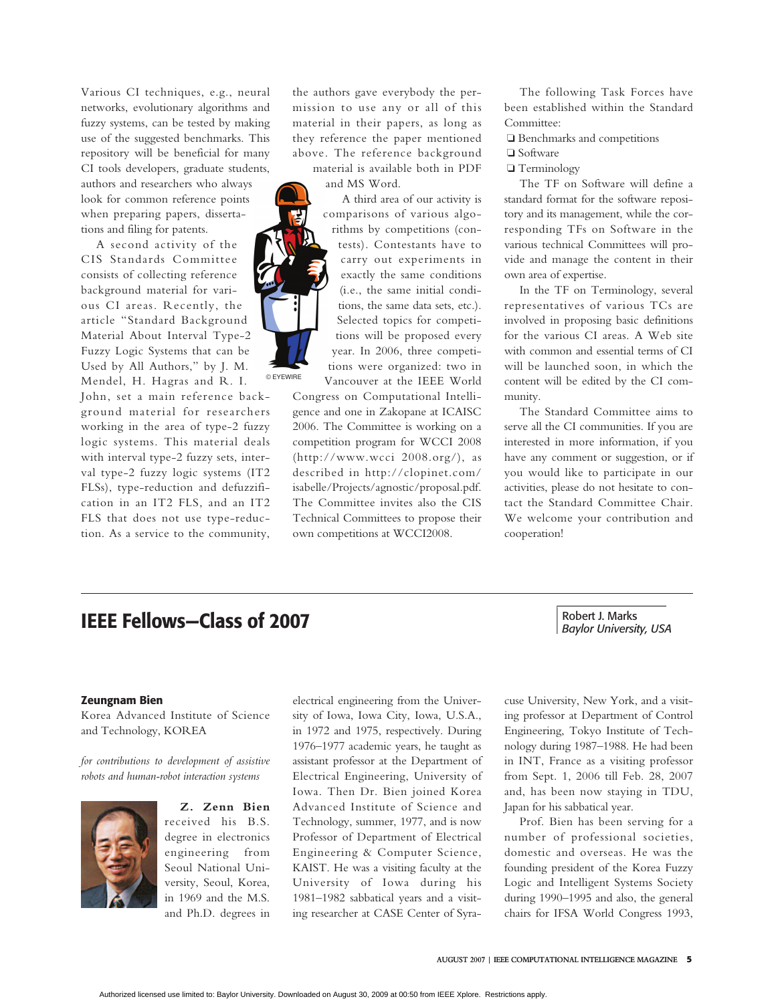# **IEEE Fellows—Class of 2007**

# Robert J. Marks *Baylor University, USA*

## **Zeungnam Bien**

Korea Advanced Institute of Science and Technology, KOREA

*for contributions to development of assistive robots and human-robot interaction systems*



**Z. Zenn Bien** received his B.S. degree in electronics engineering from Seoul National University, Seoul, Korea, in 1969 and the M.S. and Ph.D. degrees in

electrical engineering from the University of Iowa, Iowa City, Iowa, U.S.A., in 1972 and 1975, respectively. During 1976–1977 academic years, he taught as assistant professor at the Department of Electrical Engineering, University of Iowa. Then Dr. Bien joined Korea Advanced Institute of Science and Technology, summer, 1977, and is now Professor of Department of Electrical Engineering & Computer Science, KAIST. He was a visiting faculty at the University of Iowa during his 1981–1982 sabbatical years and a visiting researcher at CASE Center of Syra-

cuse University, New York, and a visiting professor at Department of Control Engineering, Tokyo Institute of Technology during 1987–1988. He had been in INT, France as a visiting professor from Sept. 1, 2006 till Feb. 28, 2007 and, has been now staying in TDU, Japan for his sabbatical year.

Prof. Bien has been serving for a number of professional societies, domestic and overseas. He was the founding president of the Korea Fuzzy Logic and Intelligent Systems Society during 1990–1995 and also, the general chairs for IFSA World Congress 1993,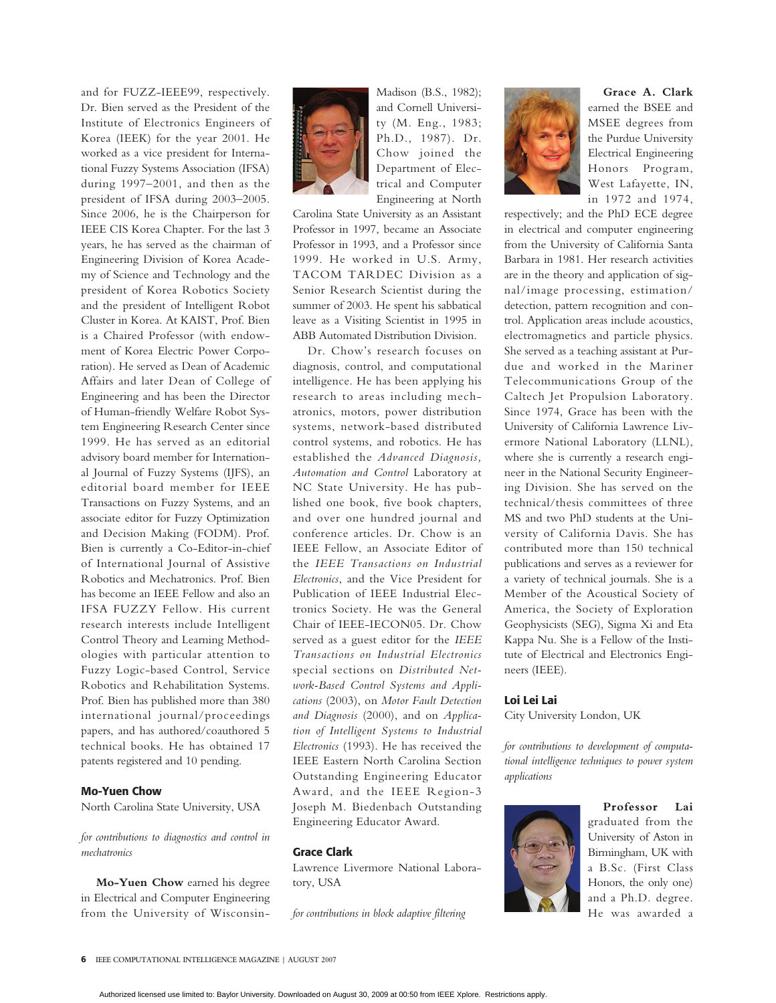and for FUZZ-IEEE99, respectively. Dr. Bien served as the President of the Institute of Electronics Engineers of Korea (IEEK) for the year 2001. He worked as a vice president for International Fuzzy Systems Association (IFSA) during 1997–2001, and then as the president of IFSA during 2003–2005. Since 2006, he is the Chairperson for IEEE CIS Korea Chapter. For the last 3 years, he has served as the chairman of Engineering Division of Korea Academy of Science and Technology and the president of Korea Robotics Society and the president of Intelligent Robot Cluster in Korea. At KAIST, Prof. Bien is a Chaired Professor (with endowment of Korea Electric Power Corporation). He served as Dean of Academic Affairs and later Dean of College of Engineering and has been the Director of Human-friendly Welfare Robot System Engineering Research Center since 1999. He has served as an editorial advisory board member for International Journal of Fuzzy Systems (IJFS), an editorial board member for IEEE Transactions on Fuzzy Systems, and an associate editor for Fuzzy Optimization and Decision Making (FODM). Prof. Bien is currently a Co-Editor-in-chief of International Journal of Assistive Robotics and Mechatronics. Prof. Bien has become an IEEE Fellow and also an IFSA FUZZY Fellow. His current research interests include Intelligent Control Theory and Learning Methodologies with particular attention to Fuzzy Logic-based Control, Service Robotics and Rehabilitation Systems. Prof. Bien has published more than 380 international journal/proceedings papers, and has authored/coauthored 5 technical books. He has obtained 17 patents registered and 10 pending.

## **Mo-Yuen Chow**

North Carolina State University, USA

*for contributions to diagnostics and control in mechatronics*

**Mo-Yuen Chow** earned his degree in Electrical and Computer Engineering from the University of Wisconsin-



Madison (B.S., 1982); and Cornell University (M. Eng., 1983; Ph.D., 1987). Dr. Chow joined the Department of Electrical and Computer Engineering at North

Carolina State University as an Assistant Professor in 1997, became an Associate Professor in 1993, and a Professor since 1999. He worked in U.S. Army, TACOM TARDEC Division as a Senior Research Scientist during the summer of 2003. He spent his sabbatical leave as a Visiting Scientist in 1995 in ABB Automated Distribution Division.

Dr. Chow's research focuses on diagnosis, control, and computational intelligence. He has been applying his research to areas including mechatronics, motors, power distribution systems, network-based distributed control systems, and robotics. He has established the *Advanced Diagnosis, Automation and Control* Laboratory at NC State University. He has published one book, five book chapters, and over one hundred journal and conference articles. Dr. Chow is an IEEE Fellow, an Associate Editor of the *IEEE Transactions on Industrial Electronics*, and the Vice President for Publication of IEEE Industrial Electronics Society. He was the General Chair of IEEE-IECON05. Dr. Chow served as a guest editor for the *IEEE Transactions on Industrial Electronics* special sections on *Distributed Network-Based Control Systems and Applications* (2003), on *Motor Fault Detection and Diagnosis* (2000), and on *Application of Intelligent Systems to Industrial Electronics* (1993). He has received the IEEE Eastern North Carolina Section Outstanding Engineering Educator Award, and the IEEE Region-3 Joseph M. Biedenbach Outstanding Engineering Educator Award.

#### **Grace Clark**

Lawrence Livermore National Laboratory, USA

*for contributions in block adaptive filtering*



**Grace A. Clark** earned the BSEE and MSEE degrees from the Purdue University Electrical Engineering Honors Program, West Lafayette, IN, in 1972 and 1974,

respectively; and the PhD ECE degree in electrical and computer engineering from the University of California Santa Barbara in 1981. Her research activities are in the theory and application of signal/image processing, estimation/ detection, pattern recognition and control. Application areas include acoustics, electromagnetics and particle physics. She served as a teaching assistant at Purdue and worked in the Mariner Telecommunications Group of the Caltech Jet Propulsion Laboratory. Since 1974, Grace has been with the University of California Lawrence Livermore National Laboratory (LLNL), where she is currently a research engineer in the National Security Engineering Division. She has served on the technical/thesis committees of three MS and two PhD students at the University of California Davis. She has contributed more than 150 technical publications and serves as a reviewer for a variety of technical journals. She is a Member of the Acoustical Society of America, the Society of Exploration Geophysicists (SEG), Sigma Xi and Eta Kappa Nu. She is a Fellow of the Institute of Electrical and Electronics Engineers (IEEE).

#### **Loi Lei Lai**

City University London, UK

*for contributions to development of computational intelligence techniques to power system applications*



**Professor Lai** graduated from the University of Aston in Birmingham, UK with a B.Sc. (First Class Honors, the only one) and a Ph.D. degree. He was awarded a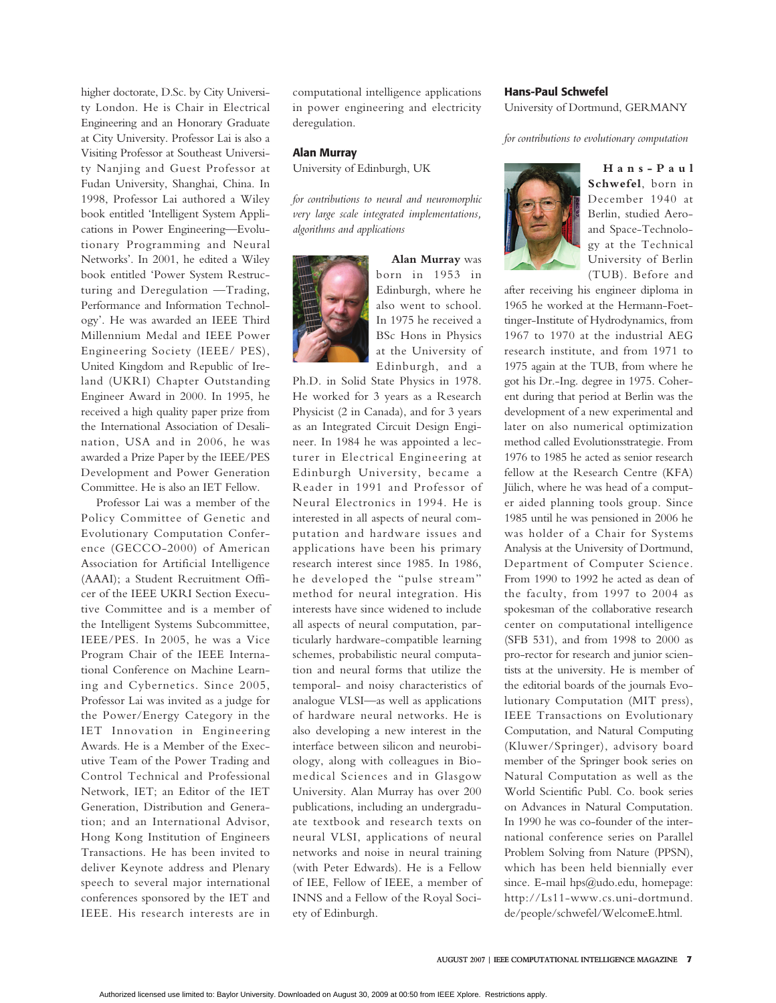higher doctorate, D.Sc. by City University London. He is Chair in Electrical Engineering and an Honorary Graduate at City University. Professor Lai is also a Visiting Professor at Southeast University Nanjing and Guest Professor at Fudan University, Shanghai, China. In 1998, Professor Lai authored a Wiley book entitled 'Intelligent System Applications in Power Engineering—Evolutionary Programming and Neural Networks'. In 2001, he edited a Wiley book entitled 'Power System Restructuring and Deregulation —Trading, Performance and Information Technology'. He was awarded an IEEE Third Millennium Medal and IEEE Power Engineering Society (IEEE/ PES), United Kingdom and Republic of Ireland (UKRI) Chapter Outstanding Engineer Award in 2000. In 1995, he received a high quality paper prize from the International Association of Desalination, USA and in 2006, he was awarded a Prize Paper by the IEEE/PES Development and Power Generation Committee. He is also an IET Fellow.

Professor Lai was a member of the Policy Committee of Genetic and Evolutionary Computation Conference (GECCO-2000) of American Association for Artificial Intelligence (AAAI); a Student Recruitment Officer of the IEEE UKRI Section Executive Committee and is a member of the Intelligent Systems Subcommittee, IEEE/PES. In 2005, he was a Vice Program Chair of the IEEE International Conference on Machine Learning and Cybernetics. Since 2005, Professor Lai was invited as a judge for the Power/Energy Category in the IET Innovation in Engineering Awards. He is a Member of the Executive Team of the Power Trading and Control Technical and Professional Network, IET; an Editor of the IET Generation, Distribution and Generation; and an International Advisor, Hong Kong Institution of Engineers Transactions. He has been invited to deliver Keynote address and Plenary speech to several major international conferences sponsored by the IET and IEEE. His research interests are in

computational intelligence applications in power engineering and electricity deregulation.

#### **Alan Murray**

University of Edinburgh, UK

*for contributions to neural and neuromorphic very large scale integrated implementations, algorithms and applications*



**Alan Murray** was born in 1953 in Edinburgh, where he also went to school. In 1975 he received a BSc Hons in Physics at the University of Edinburgh, and a

Ph.D. in Solid State Physics in 1978. He worked for 3 years as a Research Physicist (2 in Canada), and for 3 years as an Integrated Circuit Design Engineer. In 1984 he was appointed a lecturer in Electrical Engineering at Edinburgh University, became a Reader in 1991 and Professor of Neural Electronics in 1994. He is interested in all aspects of neural computation and hardware issues and applications have been his primary research interest since 1985. In 1986, he developed the "pulse stream" method for neural integration. His interests have since widened to include all aspects of neural computation, particularly hardware-compatible learning schemes, probabilistic neural computation and neural forms that utilize the temporal- and noisy characteristics of analogue VLSI—as well as applications of hardware neural networks. He is also developing a new interest in the interface between silicon and neurobiology, along with colleagues in Biomedical Sciences and in Glasgow University. Alan Murray has over 200 publications, including an undergraduate textbook and research texts on neural VLSI, applications of neural networks and noise in neural training (with Peter Edwards). He is a Fellow of IEE, Fellow of IEEE, a member of INNS and a Fellow of the Royal Society of Edinburgh.

# **Hans-Paul Schwefel** University of Dortmund, GERMANY

*for contributions to evolutionary computation*



**Hans-Paul Schwefel**, born in December 1940 at Berlin, studied Aeroand Space-Technology at the Technical University of Berlin (TUB). Before and

after receiving his engineer diploma in 1965 he worked at the Hermann-Foettinger-Institute of Hydrodynamics, from 1967 to 1970 at the industrial AEG research institute, and from 1971 to 1975 again at the TUB, from where he got his Dr.-Ing. degree in 1975. Coherent during that period at Berlin was the development of a new experimental and later on also numerical optimization method called Evolutionsstrategie. From 1976 to 1985 he acted as senior research fellow at the Research Centre (KFA) Jülich, where he was head of a computer aided planning tools group. Since 1985 until he was pensioned in 2006 he was holder of a Chair for Systems Analysis at the University of Dortmund, Department of Computer Science. From 1990 to 1992 he acted as dean of the faculty, from 1997 to 2004 as spokesman of the collaborative research center on computational intelligence (SFB 531), and from 1998 to 2000 as pro-rector for research and junior scientists at the university. He is member of the editorial boards of the journals Evolutionary Computation (MIT press), IEEE Transactions on Evolutionary Computation, and Natural Computing (Kluwer/Springer), advisory board member of the Springer book series on Natural Computation as well as the World Scientific Publ. Co. book series on Advances in Natural Computation. In 1990 he was co-founder of the international conference series on Parallel Problem Solving from Nature (PPSN), which has been held biennially ever since. E-mail hps@udo.edu, homepage: http://Ls11-www.cs.uni-dortmund. de/people/schwefel/WelcomeE.html.